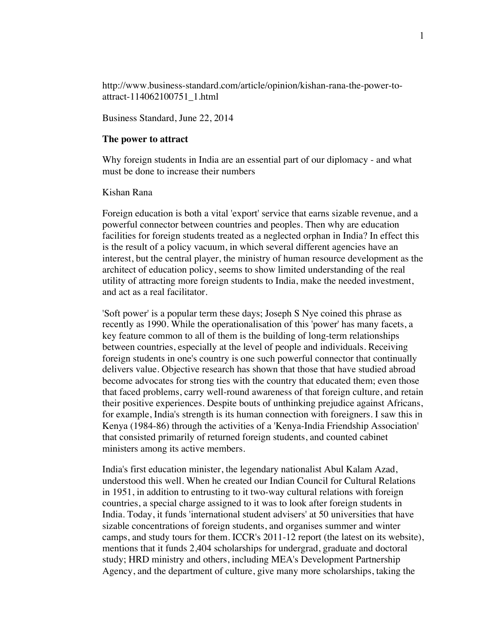http://www.business-standard.com/article/opinion/kishan-rana-the-power-toattract-114062100751\_1.html

Business Standard, June 22, 2014

## **The power to attract**

Why foreign students in India are an essential part of our diplomacy - and what must be done to increase their numbers

## Kishan Rana

Foreign education is both a vital 'export' service that earns sizable revenue, and a powerful connector between countries and peoples. Then why are education facilities for foreign students treated as a neglected orphan in India? In effect this is the result of a policy vacuum, in which several different agencies have an interest, but the central player, the ministry of human resource development as the architect of education policy, seems to show limited understanding of the real utility of attracting more foreign students to India, make the needed investment, and act as a real facilitator.

'Soft power' is a popular term these days; Joseph S Nye coined this phrase as recently as 1990. While the operationalisation of this 'power' has many facets, a key feature common to all of them is the building of long-term relationships between countries, especially at the level of people and individuals. Receiving foreign students in one's country is one such powerful connector that continually delivers value. Objective research has shown that those that have studied abroad become advocates for strong ties with the country that educated them; even those that faced problems, carry well-round awareness of that foreign culture, and retain their positive experiences. Despite bouts of unthinking prejudice against Africans, for example, India's strength is its human connection with foreigners. I saw this in Kenya (1984-86) through the activities of a 'Kenya-India Friendship Association' that consisted primarily of returned foreign students, and counted cabinet ministers among its active members.

India's first education minister, the legendary nationalist Abul Kalam Azad, understood this well. When he created our Indian Council for Cultural Relations in 1951, in addition to entrusting to it two-way cultural relations with foreign countries, a special charge assigned to it was to look after foreign students in India. Today, it funds 'international student advisers' at 50 universities that have sizable concentrations of foreign students, and organises summer and winter camps, and study tours for them. ICCR's 2011-12 report (the latest on its website), mentions that it funds 2,404 scholarships for undergrad, graduate and doctoral study; HRD ministry and others, including MEA's Development Partnership Agency, and the department of culture, give many more scholarships, taking the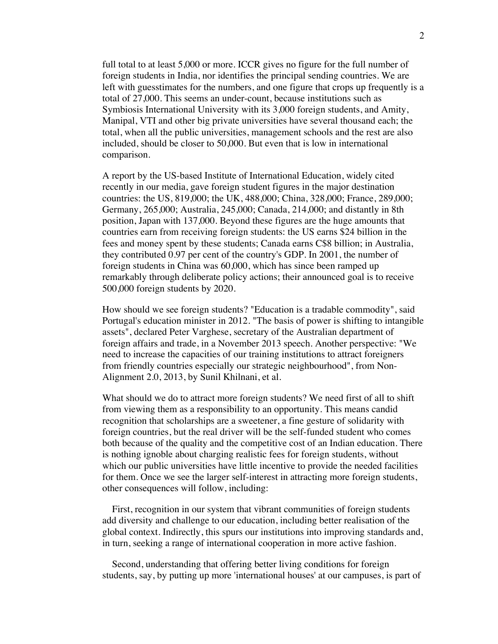full total to at least 5,000 or more. ICCR gives no figure for the full number of foreign students in India, nor identifies the principal sending countries. We are left with guesstimates for the numbers, and one figure that crops up frequently is a total of 27,000. This seems an under-count, because institutions such as Symbiosis International University with its 3,000 foreign students, and Amity, Manipal, VTI and other big private universities have several thousand each; the total, when all the public universities, management schools and the rest are also included, should be closer to 50,000. But even that is low in international comparison.

A report by the US-based Institute of International Education, widely cited recently in our media, gave foreign student figures in the major destination countries: the US, 819,000; the UK, 488,000; China, 328,000; France, 289,000; Germany, 265,000; Australia, 245,000; Canada, 214,000; and distantly in 8th position, Japan with 137,000. Beyond these figures are the huge amounts that countries earn from receiving foreign students: the US earns \$24 billion in the fees and money spent by these students; Canada earns C\$8 billion; in Australia, they contributed 0.97 per cent of the country's GDP. In 2001, the number of foreign students in China was 60,000, which has since been ramped up remarkably through deliberate policy actions; their announced goal is to receive 500,000 foreign students by 2020.

How should we see foreign students? "Education is a tradable commodity", said Portugal's education minister in 2012. "The basis of power is shifting to intangible assets", declared Peter Varghese, secretary of the Australian department of foreign affairs and trade, in a November 2013 speech. Another perspective: "We need to increase the capacities of our training institutions to attract foreigners from friendly countries especially our strategic neighbourhood", from Non-Alignment 2.0, 2013, by Sunil Khilnani, et al.

What should we do to attract more foreign students? We need first of all to shift from viewing them as a responsibility to an opportunity. This means candid recognition that scholarships are a sweetener, a fine gesture of solidarity with foreign countries, but the real driver will be the self-funded student who comes both because of the quality and the competitive cost of an Indian education. There is nothing ignoble about charging realistic fees for foreign students, without which our public universities have little incentive to provide the needed facilities for them. Once we see the larger self-interest in attracting more foreign students, other consequences will follow, including:

 First, recognition in our system that vibrant communities of foreign students add diversity and challenge to our education, including better realisation of the global context. Indirectly, this spurs our institutions into improving standards and, in turn, seeking a range of international cooperation in more active fashion.

 Second, understanding that offering better living conditions for foreign students, say, by putting up more 'international houses' at our campuses, is part of